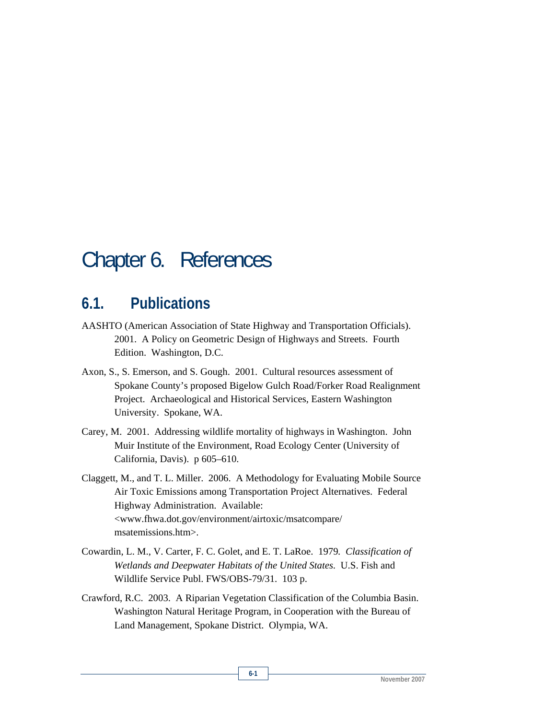## Chapter 6. References

## **6.1. Publications**

- AASHTO (American Association of State Highway and Transportation Officials). 2001. A Policy on Geometric Design of Highways and Streets. Fourth Edition. Washington, D.C.
- Axon, S., S. Emerson, and S. Gough. 2001. Cultural resources assessment of Spokane County's proposed Bigelow Gulch Road/Forker Road Realignment Project. Archaeological and Historical Services, Eastern Washington University. Spokane, WA.
- Carey, M. 2001. Addressing wildlife mortality of highways in Washington. John Muir Institute of the Environment, Road Ecology Center (University of California, Davis). p 605–610.

Claggett, M., and T. L. Miller. 2006. A Methodology for Evaluating Mobile Source Air Toxic Emissions among Transportation Project Alternatives. Federal Highway Administration. Available: <www.fhwa.dot.gov/environment/airtoxic/msatcompare/ msatemissions.htm>.

- Cowardin, L. M., V. Carter, F. C. Golet, and E. T. LaRoe. 1979*. Classification of Wetlands and Deepwater Habitats of the United States*. U.S. Fish and Wildlife Service Publ. FWS/OBS-79/31. 103 p.
- Crawford, R.C. 2003. A Riparian Vegetation Classification of the Columbia Basin. Washington Natural Heritage Program, in Cooperation with the Bureau of Land Management, Spokane District. Olympia, WA.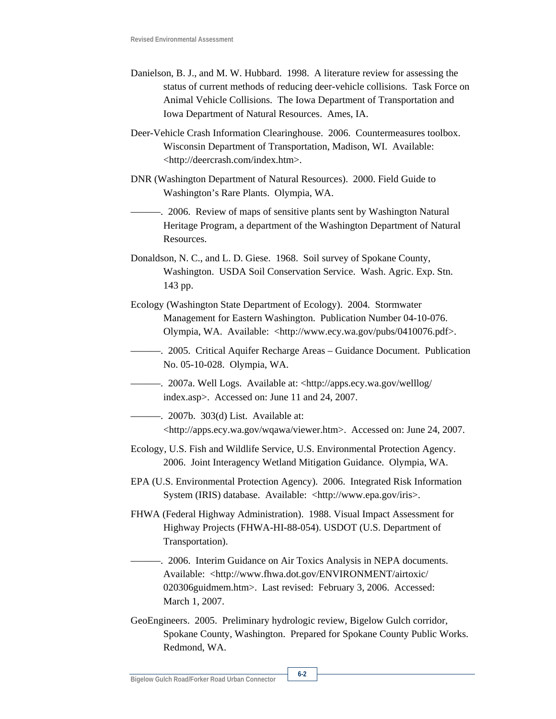- Danielson, B. J., and M. W. Hubbard. 1998. A literature review for assessing the status of current methods of reducing deer-vehicle collisions. Task Force on Animal Vehicle Collisions. The Iowa Department of Transportation and Iowa Department of Natural Resources. Ames, IA.
- Deer-Vehicle Crash Information Clearinghouse. 2006. Countermeasures toolbox. Wisconsin Department of Transportation, Madison, WI. Available: <http://deercrash.com/index.htm>.
- DNR (Washington Department of Natural Resources). 2000. Field Guide to Washington's Rare Plants. Olympia, WA.
- ———. 2006. Review of maps of sensitive plants sent by Washington Natural Heritage Program, a department of the Washington Department of Natural Resources.
- Donaldson, N. C., and L. D. Giese. 1968. Soil survey of Spokane County, Washington. USDA Soil Conservation Service. Wash. Agric. Exp. Stn. 143 pp.
- Ecology (Washington State Department of Ecology). 2004. Stormwater Management for Eastern Washington. Publication Number 04-10-076. Olympia, WA. Available: <http://www.ecy.wa.gov/pubs/0410076.pdf>.
- ———. 2005. Critical Aquifer Recharge Areas Guidance Document. Publication No. 05-10-028. Olympia, WA.
- ———. 2007a. Well Logs. Available at: <http://apps.ecy.wa.gov/welllog/ index.asp>. Accessed on: June 11 and 24, 2007.
- ———. 2007b. 303(d) List. Available at: <http://apps.ecy.wa.gov/wqawa/viewer.htm>. Accessed on: June 24, 2007.
- Ecology, U.S. Fish and Wildlife Service, U.S. Environmental Protection Agency. 2006. Joint Interagency Wetland Mitigation Guidance. Olympia, WA.
- EPA (U.S. Environmental Protection Agency). 2006. Integrated Risk Information System (IRIS) database. Available: <http://www.epa.gov/iris>.
- FHWA (Federal Highway Administration). 1988. Visual Impact Assessment for Highway Projects (FHWA-HI-88-054). USDOT (U.S. Department of Transportation).

———. 2006. Interim Guidance on Air Toxics Analysis in NEPA documents. Available: <http://www.fhwa.dot.gov/ENVIRONMENT/airtoxic/ 020306guidmem.htm>. Last revised: February 3, 2006. Accessed: March 1, 2007.

GeoEngineers. 2005. Preliminary hydrologic review, Bigelow Gulch corridor, Spokane County, Washington. Prepared for Spokane County Public Works. Redmond, WA.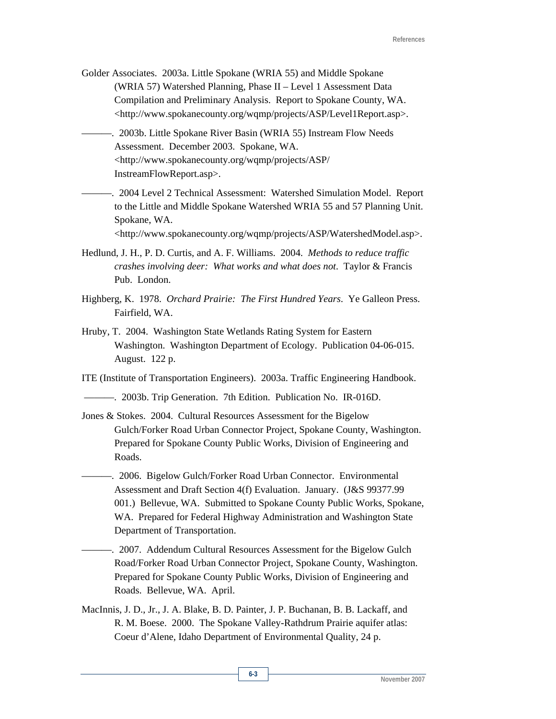- Golder Associates. 2003a. Little Spokane (WRIA 55) and Middle Spokane (WRIA 57) Watershed Planning, Phase II – Level 1 Assessment Data Compilation and Preliminary Analysis. Report to Spokane County, WA. <http://www.spokanecounty.org/wqmp/projects/ASP/Level1Report.asp>.
- ———. 2003b. Little Spokane River Basin (WRIA 55) Instream Flow Needs Assessment. December 2003. Spokane, WA. <http://www.spokanecounty.org/wqmp/projects/ASP/ InstreamFlowReport.asp>.
- ———. 2004 Level 2 Technical Assessment: Watershed Simulation Model. Report to the Little and Middle Spokane Watershed WRIA 55 and 57 Planning Unit. Spokane, WA.

<http://www.spokanecounty.org/wqmp/projects/ASP/WatershedModel.asp>.

- Hedlund, J. H., P. D. Curtis, and A. F. Williams. 2004. *Methods to reduce traffic crashes involving deer: What works and what does not*. Taylor & Francis Pub. London.
- Highberg, K. 1978. *Orchard Prairie: The First Hundred Years*. Ye Galleon Press. Fairfield, WA.
- Hruby, T. 2004. Washington State Wetlands Rating System for Eastern Washington. Washington Department of Ecology. Publication 04-06-015. August. 122 p.

ITE (Institute of Transportation Engineers). 2003a. Traffic Engineering Handbook.

———. 2003b. Trip Generation. 7th Edition. Publication No. IR-016D.

- Jones & Stokes. 2004. Cultural Resources Assessment for the Bigelow Gulch/Forker Road Urban Connector Project, Spokane County, Washington. Prepared for Spokane County Public Works, Division of Engineering and Roads.
	- -. 2006. Bigelow Gulch/Forker Road Urban Connector. Environmental Assessment and Draft Section 4(f) Evaluation. January. (J&S 99377.99 001.) Bellevue, WA. Submitted to Spokane County Public Works, Spokane, WA. Prepared for Federal Highway Administration and Washington State Department of Transportation.
	- -. 2007. Addendum Cultural Resources Assessment for the Bigelow Gulch Road/Forker Road Urban Connector Project, Spokane County, Washington. Prepared for Spokane County Public Works, Division of Engineering and Roads. Bellevue, WA. April.
- MacInnis, J. D., Jr., J. A. Blake, B. D. Painter, J. P. Buchanan, B. B. Lackaff, and R. M. Boese. 2000. The Spokane Valley-Rathdrum Prairie aquifer atlas: Coeur d'Alene, Idaho Department of Environmental Quality, 24 p.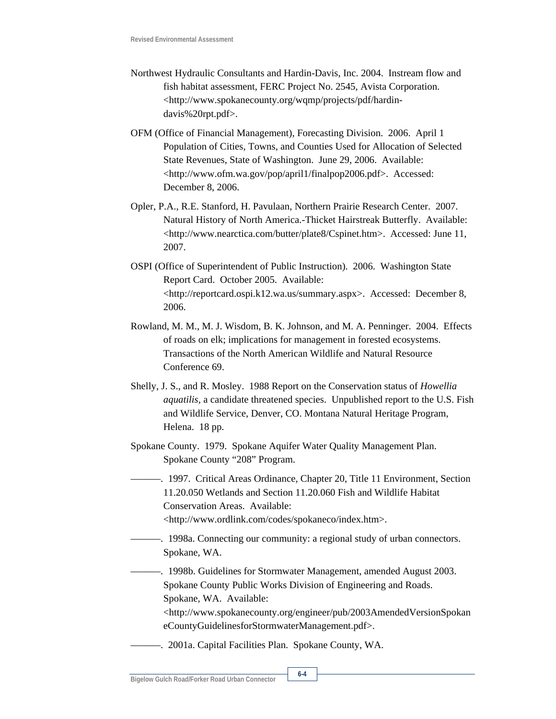- Northwest Hydraulic Consultants and Hardin-Davis, Inc. 2004. Instream flow and fish habitat assessment, FERC Project No. 2545, Avista Corporation. <http://www.spokanecounty.org/wqmp/projects/pdf/hardindavis%20rpt.pdf>.
- OFM (Office of Financial Management), Forecasting Division. 2006. April 1 Population of Cities, Towns, and Counties Used for Allocation of Selected State Revenues, State of Washington. June 29, 2006. Available: <http://www.ofm.wa.gov/pop/april1/finalpop2006.pdf>. Accessed: December 8, 2006.
- Opler, P.A., R.E. Stanford, H. Pavulaan, Northern Prairie Research Center. 2007. Natural History of North America.-Thicket Hairstreak Butterfly. Available: <http://www.nearctica.com/butter/plate8/Cspinet.htm>. Accessed: June 11, 2007.
- OSPI (Office of Superintendent of Public Instruction). 2006. Washington State Report Card. October 2005. Available: <http://reportcard.ospi.k12.wa.us/summary.aspx>. Accessed: December 8, 2006.
- Rowland, M. M., M. J. Wisdom, B. K. Johnson, and M. A. Penninger. 2004. Effects of roads on elk; implications for management in forested ecosystems. Transactions of the North American Wildlife and Natural Resource Conference 69.
- Shelly, J. S., and R. Mosley. 1988 Report on the Conservation status of *Howellia aquatilis,* a candidate threatened species. Unpublished report to the U.S. Fish and Wildlife Service, Denver, CO. Montana Natural Heritage Program, Helena. 18 pp.
- Spokane County. 1979. Spokane Aquifer Water Quality Management Plan. Spokane County "208" Program.
- ———. 1997. Critical Areas Ordinance, Chapter 20, Title 11 Environment, Section 11.20.050 Wetlands and Section 11.20.060 Fish and Wildlife Habitat Conservation Areas. Available: <http://www.ordlink.com/codes/spokaneco/index.htm>.
- ———. 1998a. Connecting our community: a regional study of urban connectors. Spokane, WA.
- ———. 1998b. Guidelines for Stormwater Management, amended August 2003. Spokane County Public Works Division of Engineering and Roads. Spokane, WA. Available:
	- <http://www.spokanecounty.org/engineer/pub/2003AmendedVersionSpokan eCountyGuidelinesforStormwaterManagement.pdf>.
- ———. 2001a. Capital Facilities Plan. Spokane County, WA.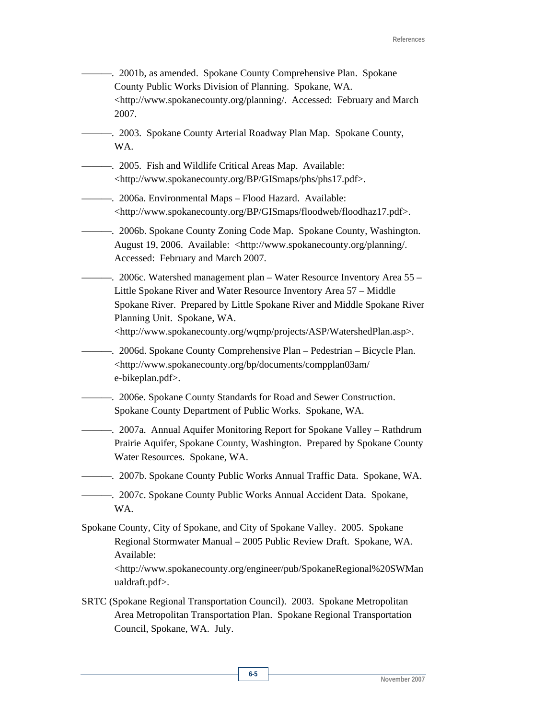- ———. 2001b, as amended. Spokane County Comprehensive Plan. Spokane County Public Works Division of Planning. Spokane, WA. <http://www.spokanecounty.org/planning/. Accessed: February and March 2007. -. 2003. Spokane County Arterial Roadway Plan Map. Spokane County, WA. ———. 2005. Fish and Wildlife Critical Areas Map. Available: <http://www.spokanecounty.org/BP/GISmaps/phs/phs17.pdf>. ———. 2006a. Environmental Maps – Flood Hazard. Available: <http://www.spokanecounty.org/BP/GISmaps/floodweb/floodhaz17.pdf>. ———. 2006b. Spokane County Zoning Code Map. Spokane County, Washington. August 19, 2006. Available: <http://www.spokanecounty.org/planning/. Accessed: February and March 2007. ———. 2006c. Watershed management plan – Water Resource Inventory Area 55 – Little Spokane River and Water Resource Inventory Area 57 – Middle Spokane River. Prepared by Little Spokane River and Middle Spokane River Planning Unit. Spokane, WA. <http://www.spokanecounty.org/wqmp/projects/ASP/WatershedPlan.asp>. ———. 2006d. Spokane County Comprehensive Plan – Pedestrian – Bicycle Plan. <http://www.spokanecounty.org/bp/documents/compplan03am/ e-bikeplan.pdf>. ———. 2006e. Spokane County Standards for Road and Sewer Construction. Spokane County Department of Public Works. Spokane, WA. ———. 2007a. Annual Aquifer Monitoring Report for Spokane Valley – Rathdrum Prairie Aquifer, Spokane County, Washington. Prepared by Spokane County Water Resources. Spokane, WA. ———. 2007b. Spokane County Public Works Annual Traffic Data. Spokane, WA. ———. 2007c. Spokane County Public Works Annual Accident Data. Spokane, WA. Spokane County, City of Spokane, and City of Spokane Valley. 2005. Spokane Regional Stormwater Manual – 2005 Public Review Draft. Spokane, WA. Available: <http://www.spokanecounty.org/engineer/pub/SpokaneRegional%20SWMan ualdraft.pdf>.
- SRTC (Spokane Regional Transportation Council). 2003. Spokane Metropolitan Area Metropolitan Transportation Plan. Spokane Regional Transportation Council, Spokane, WA. July.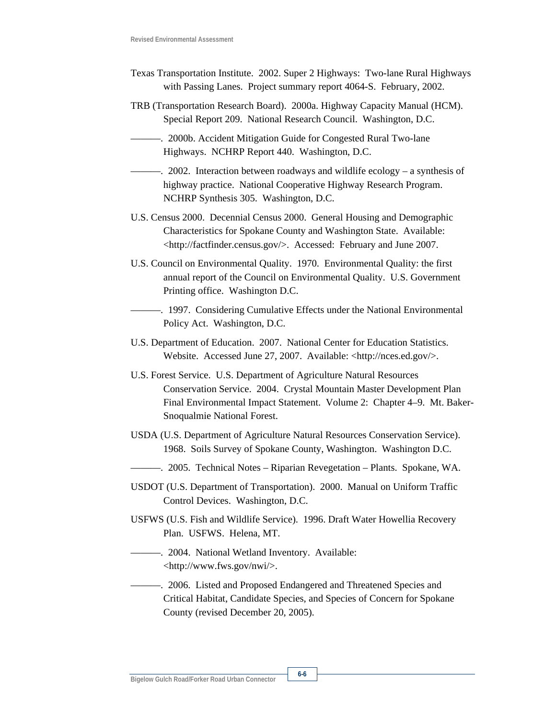- Texas Transportation Institute. 2002. Super 2 Highways: Two-lane Rural Highways with Passing Lanes. Project summary report 4064-S. February, 2002.
- TRB (Transportation Research Board). 2000a. Highway Capacity Manual (HCM). Special Report 209. National Research Council. Washington, D.C.
- ———. 2000b. Accident Mitigation Guide for Congested Rural Two-lane Highways. NCHRP Report 440. Washington, D.C.
- ———. 2002. Interaction between roadways and wildlife ecology a synthesis of highway practice. National Cooperative Highway Research Program. NCHRP Synthesis 305. Washington, D.C.
- U.S. Census 2000. Decennial Census 2000. General Housing and Demographic Characteristics for Spokane County and Washington State. Available: <http://factfinder.census.gov/>. Accessed: February and June 2007.
- U.S. Council on Environmental Quality. 1970. Environmental Quality: the first annual report of the Council on Environmental Quality. U.S. Government Printing office. Washington D.C.
- ———. 1997. Considering Cumulative Effects under the National Environmental Policy Act. Washington, D.C.
- U.S. Department of Education. 2007. National Center for Education Statistics. Website. Accessed June 27, 2007. Available: <http://nces.ed.gov/>.
- U.S. Forest Service. U.S. Department of Agriculture Natural Resources Conservation Service. 2004. Crystal Mountain Master Development Plan Final Environmental Impact Statement. Volume 2: Chapter 4–9. Mt. Baker-Snoqualmie National Forest.
- USDA (U.S. Department of Agriculture Natural Resources Conservation Service). 1968. Soils Survey of Spokane County, Washington. Washington D.C.
- ———. 2005. Technical Notes Riparian Revegetation Plants. Spokane, WA.
- USDOT (U.S. Department of Transportation). 2000. Manual on Uniform Traffic Control Devices. Washington, D.C.
- USFWS (U.S. Fish and Wildlife Service). 1996. Draft Water Howellia Recovery Plan. USFWS. Helena, MT.
- ———. 2004. National Wetland Inventory. Available: <http://www.fws.gov/nwi/>.
- ———. 2006. Listed and Proposed Endangered and Threatened Species and Critical Habitat, Candidate Species, and Species of Concern for Spokane County (revised December 20, 2005).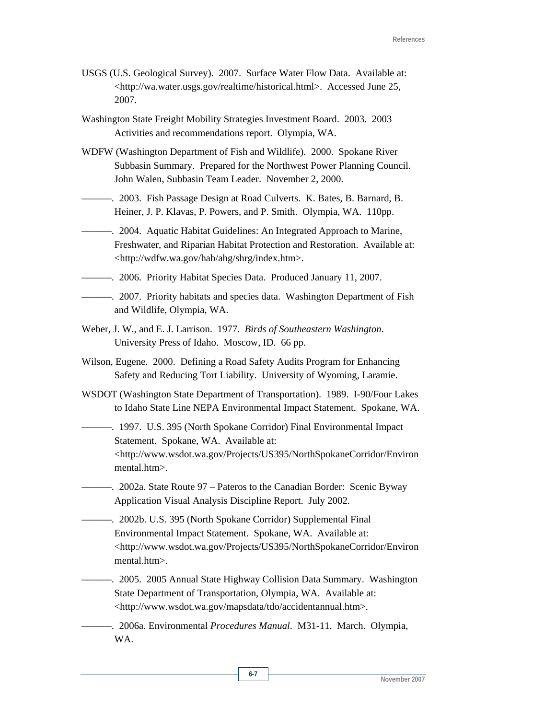- USGS (U.S. Geological Survey). 2007. Surface Water Flow Data. Available at: <http://wa.water.usgs.gov/realtime/historical.html>. Accessed June 25, 2007.
- Washington State Freight Mobility Strategies Investment Board. 2003. 2003 Activities and recommendations report. Olympia, WA.
- WDFW (Washington Department of Fish and Wildlife). 2000. Spokane River Subbasin Summary. Prepared for the Northwest Power Planning Council. John Walen, Subbasin Team Leader. November 2, 2000.
- ———. 2003. Fish Passage Design at Road Culverts. K. Bates, B. Barnard, B. Heiner, J. P. Klavas, P. Powers, and P. Smith. Olympia, WA. 110pp.
- ———. 2004. Aquatic Habitat Guidelines: An Integrated Approach to Marine, Freshwater, and Riparian Habitat Protection and Restoration. Available at: <http://wdfw.wa.gov/hab/ahg/shrg/index.htm>.
- ———. 2006. Priority Habitat Species Data. Produced January 11, 2007.
- ———. 2007. Priority habitats and species data. Washington Department of Fish and Wildlife, Olympia, WA.
- Weber, J. W., and E. J. Larrison. 1977. *Birds of Southeastern Washington*. University Press of Idaho. Moscow, ID. 66 pp.
- Wilson, Eugene. 2000. Defining a Road Safety Audits Program for Enhancing Safety and Reducing Tort Liability. University of Wyoming, Laramie.
- WSDOT (Washington State Department of Transportation). 1989. I-90/Four Lakes to Idaho State Line NEPA Environmental Impact Statement. Spokane, WA.
	- ———. 1997. U.S. 395 (North Spokane Corridor) Final Environmental Impact Statement. Spokane, WA. Available at: <http://www.wsdot.wa.gov/Projects/US395/NorthSpokaneCorridor/Environ mental.htm>.
- ———. 2002a. State Route 97 Pateros to the Canadian Border: Scenic Byway Application Visual Analysis Discipline Report. July 2002.
- ———. 2002b. U.S. 395 (North Spokane Corridor) Supplemental Final Environmental Impact Statement. Spokane, WA. Available at: <http://www.wsdot.wa.gov/Projects/US395/NorthSpokaneCorridor/Environ mental.htm>.
	- ———. 2005. 2005 Annual State Highway Collision Data Summary. Washington State Department of Transportation, Olympia, WA. Available at: <http://www.wsdot.wa.gov/mapsdata/tdo/accidentannual.htm>.

———. 2006a. Environmental *Procedures Manual*. M31-11. March. Olympia, WA.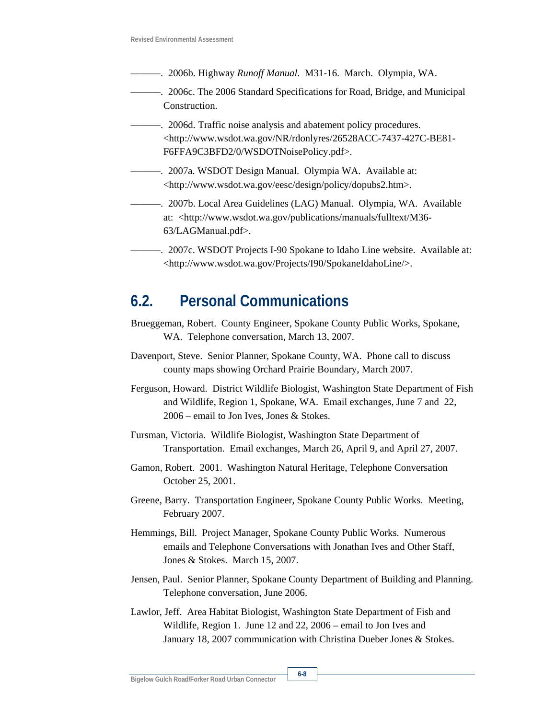- ———. 2006b. Highway *Runoff Manual*. M31-16. March. Olympia, WA.
- ———. 2006c. The 2006 Standard Specifications for Road, Bridge, and Municipal Construction.
- ———. 2006d. Traffic noise analysis and abatement policy procedures. <http://www.wsdot.wa.gov/NR/rdonlyres/26528ACC-7437-427C-BE81- F6FFA9C3BFD2/0/WSDOTNoisePolicy.pdf>.
- ———. 2007a. WSDOT Design Manual. Olympia WA. Available at: <http://www.wsdot.wa.gov/eesc/design/policy/dopubs2.htm>.
- ———. 2007b. Local Area Guidelines (LAG) Manual. Olympia, WA. Available at: <http://www.wsdot.wa.gov/publications/manuals/fulltext/M36- 63/LAGManual.pdf>.
- ———. 2007c. WSDOT Projects I-90 Spokane to Idaho Line website. Available at: <http://www.wsdot.wa.gov/Projects/I90/SpokaneIdahoLine/>.

## **6.2. Personal Communications**

- Brueggeman, Robert. County Engineer, Spokane County Public Works, Spokane, WA. Telephone conversation, March 13, 2007.
- Davenport, Steve. Senior Planner, Spokane County, WA. Phone call to discuss county maps showing Orchard Prairie Boundary, March 2007.
- Ferguson, Howard. District Wildlife Biologist, Washington State Department of Fish and Wildlife, Region 1, Spokane, WA. Email exchanges, June 7 and 22, 2006 – email to Jon Ives, Jones & Stokes.
- Fursman, Victoria. Wildlife Biologist, Washington State Department of Transportation. Email exchanges, March 26, April 9, and April 27, 2007.
- Gamon, Robert. 2001. Washington Natural Heritage, Telephone Conversation October 25, 2001.
- Greene, Barry. Transportation Engineer, Spokane County Public Works. Meeting, February 2007.
- Hemmings, Bill. Project Manager, Spokane County Public Works. Numerous emails and Telephone Conversations with Jonathan Ives and Other Staff, Jones & Stokes. March 15, 2007.
- Jensen, Paul. Senior Planner, Spokane County Department of Building and Planning. Telephone conversation, June 2006.
- Lawlor, Jeff. Area Habitat Biologist, Washington State Department of Fish and Wildlife, Region 1. June 12 and 22, 2006 – email to Jon Ives and January 18, 2007 communication with Christina Dueber Jones & Stokes.